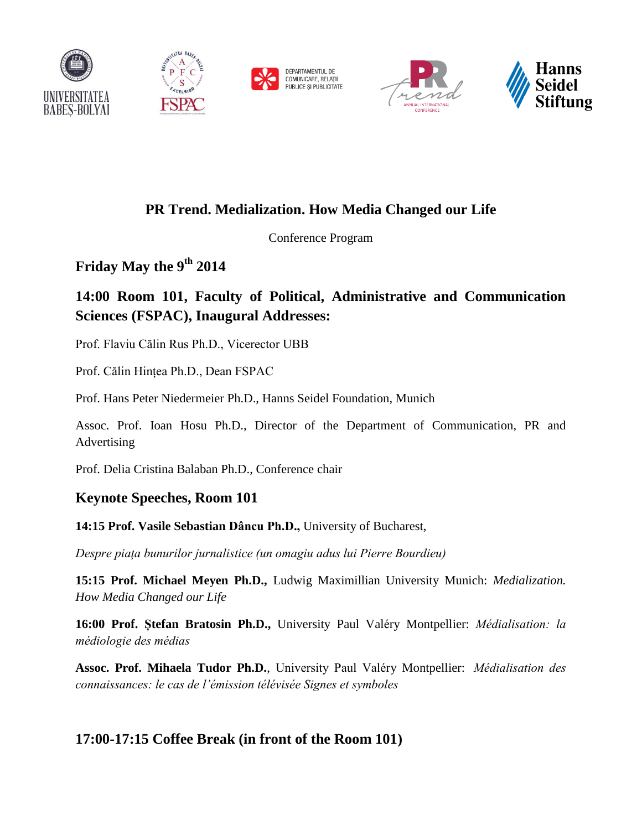



DEPARTAMENTUL DE<br>COMUNICARE, RELATII PUBLICE ȘI PUBLICITATE





# **PR Trend. Medialization. How Media Changed our Life**

Conference Program

**Friday May the 9th 2014**

# **14:00 Room 101, Faculty of Political, Administrative and Communication Sciences (FSPAC), Inaugural Addresses:**

Prof. Flaviu Călin Rus Ph.D., Vicerector UBB

Prof. Călin Hințea Ph.D., Dean FSPAC

Prof. Hans Peter Niedermeier Ph.D., Hanns Seidel Foundation, Munich

Assoc. Prof. Ioan Hosu Ph.D., Director of the Department of Communication, PR and Advertising

Prof. Delia Cristina Balaban Ph.D., Conference chair

## **Keynote Speeches, Room 101**

#### **14:15 Prof. Vasile Sebastian Dâncu Ph.D.,** University of Bucharest,

*Despre piaţa bunurilor jurnalistice (un omagiu adus lui Pierre Bourdieu)*

**15:15 Prof. Michael Meyen Ph.D.,** Ludwig Maximillian University Munich: *Medialization. How Media Changed our Life*

**16:00 Prof. Ștefan Bratosin Ph.D.,** University Paul Valéry Montpellier: *Médialisation: la médiologie des médias*

**Assoc. Prof. Mihaela Tudor Ph.D.**, University Paul Valéry Montpellier: *Médialisation des connaissances: le cas de l'émission télévisée Signes et symboles*

## **17:00-17:15 Coffee Break (in front of the Room 101)**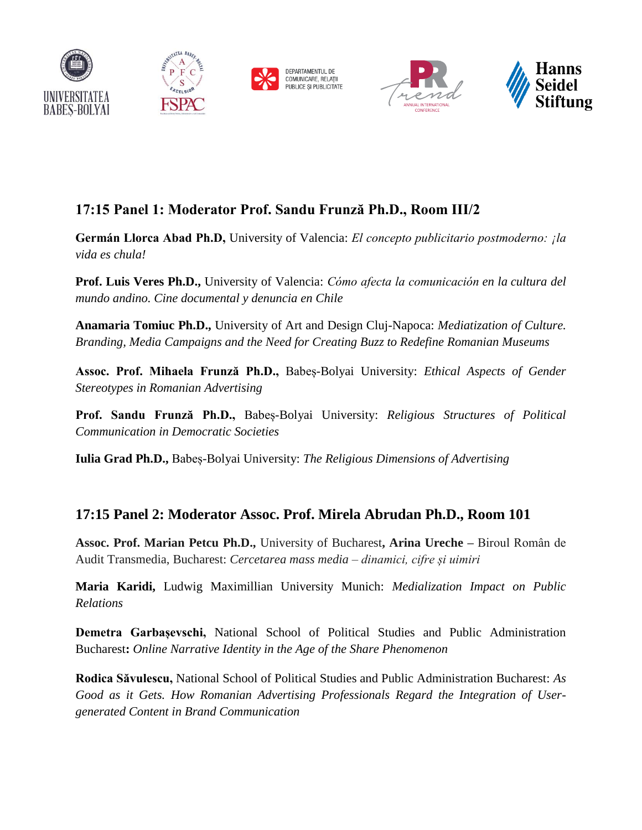



DEPARTAMENTUL DE<br>COMUNICARE, RELATII PUBLICE ȘI PUBLICITATE





# **17:15 Panel 1: Moderator Prof. Sandu Frunză Ph.D., Room III/2**

**Germán Llorca Abad Ph.D,** University of Valencia: *El concepto publicitario postmoderno: ¡la vida es chula!*

**Prof. Luis Veres Ph.D.,** University of Valencia: *Cómo afecta la comunicación en la cultura del mundo andino. Cine documental y denuncia en Chile*

**Anamaria Tomiuc Ph.D.,** University of Art and Design Cluj-Napoca: *Mediatization of Culture. Branding, Media Campaigns and the Need for Creating Buzz to Redefine Romanian Museums*

**Assoc. Prof. Mihaela Frunză Ph.D.,** Babeș-Bolyai University: *Ethical Aspects of Gender Stereotypes in Romanian Advertising*

**Prof. Sandu Frunză Ph.D.,** Babeș-Bolyai University: *Religious Structures of Political Communication in Democratic Societies*

**Iulia Grad Ph.D.,** Babeș-Bolyai University: *The Religious Dimensions of Advertising*

### **17:15 Panel 2: Moderator Assoc. Prof. Mirela Abrudan Ph.D., Room 101**

**Assoc. Prof. Marian Petcu Ph.D.,** University of Bucharest**, Arina Ureche –** Biroul Român de Audit Transmedia, Bucharest: *Cercetarea mass media – dinamici, cifre și uimiri*

**Maria Karidi,** Ludwig Maximillian University Munich: *Medialization Impact on Public Relations*

**Demetra Garbașevschi,** National School of Political Studies and Public Administration Bucharest**:** *Online Narrative Identity in the Age of the Share Phenomenon*

**Rodica Săvulescu,** National School of Political Studies and Public Administration Bucharest: *As Good as it Gets. How Romanian Advertising Professionals Regard the Integration of Usergenerated Content in Brand Communication*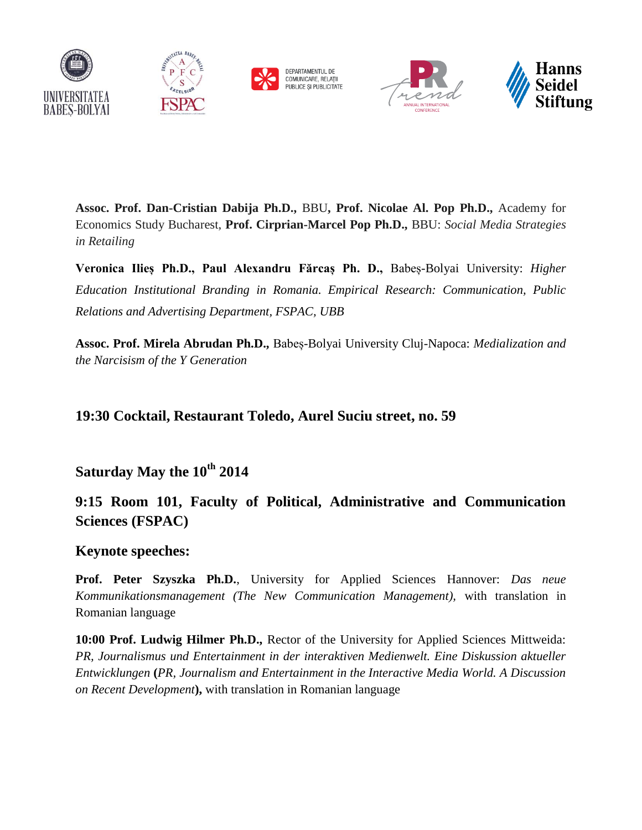









**Assoc. Prof. Dan-Cristian Dabija Ph.D.,** BBU**, Prof. Nicolae Al. Pop Ph.D.,** Academy for Economics Study Bucharest, **Prof. Cirprian-Marcel Pop Ph.D.,** BBU: *Social Media Strategies in Retailing*

**Veronica Ilieș Ph.D., Paul Alexandru Fărcaș Ph. D.,** Babeș-Bolyai University: *Higher Education Institutional Branding in Romania. Empirical Research: Communication, Public Relations and Advertising Department, FSPAC, UBB*

**Assoc. Prof. Mirela Abrudan Ph.D.,** Babeș-Bolyai University Cluj-Napoca: *Medialization and the Narcisism of the Y Generation*

#### **19:30 Cocktail, Restaurant Toledo, Aurel Suciu street, no. 59**

**Saturday May the 10th 2014** 

## **9:15 Room 101, Faculty of Political, Administrative and Communication Sciences (FSPAC)**

#### **Keynote speeches:**

**Prof. Peter Szyszka Ph.D.**, University for Applied Sciences Hannover: *Das neue Kommunikationsmanagement (The New Communication Management),* with translation in Romanian language

**10:00 Prof. Ludwig Hilmer Ph.D.,** Rector of the University for Applied Sciences Mittweida: *PR, Journalismus und Entertainment in der interaktiven Medienwelt. Eine Diskussion aktueller Entwicklungen* **(***PR, Journalism and Entertainment in the Interactive Media World. A Discussion on Recent Development***),** with translation in Romanian language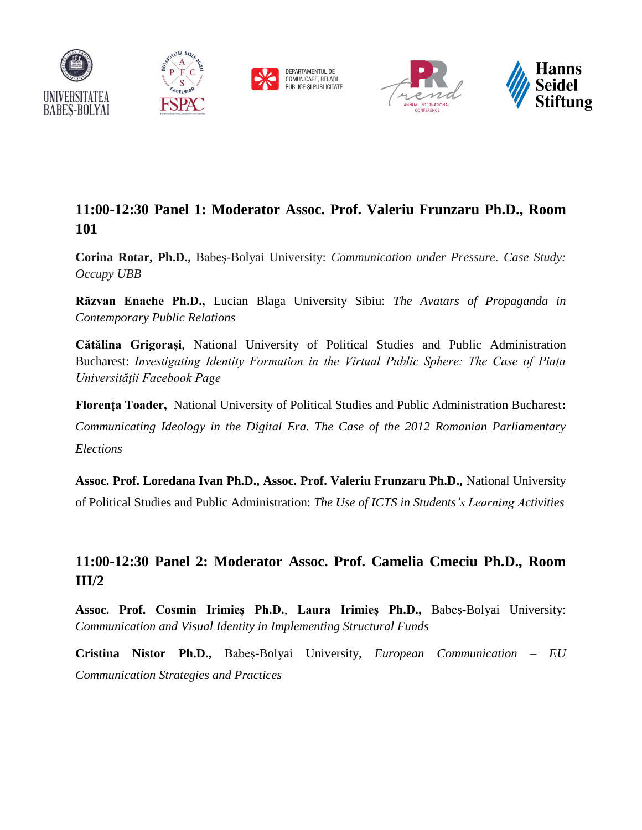





## **11:00-12:30 Panel 1: Moderator Assoc. Prof. Valeriu Frunzaru Ph.D., Room 101**

**Corina Rotar, Ph.D.,** Babeș-Bolyai University: *Communication under Pressure. Case Study: Occupy UBB*

**Răzvan Enache Ph.D.,** Lucian Blaga University Sibiu: *The Avatars of Propaganda in Contemporary Public Relations*

**Cătălina Grigorași**, National University of Political Studies and Public Administration Bucharest: *Investigating Identity Formation in the Virtual Public Sphere: The Case of Piaţa Universităţii Facebook Page*

**Florența Toader,** National University of Political Studies and Public Administration Bucharest**:**  *Communicating Ideology in the Digital Era. The Case of the 2012 Romanian Parliamentary Elections*

**Assoc. Prof. Loredana Ivan Ph.D., Assoc. Prof. Valeriu Frunzaru Ph.D.,** National University of Political Studies and Public Administration: *The Use of ICTS in Students's Learning Activities*

### **11:00-12:30 Panel 2: Moderator Assoc. Prof. Camelia Cmeciu Ph.D., Room III/2**

**Assoc. Prof. Cosmin Irimieș Ph.D.**, **Laura Irimieș Ph.D.,** Babeș-Bolyai University: *Communication and Visual Identity in Implementing Structural Funds* 

**Cristina Nistor Ph.D.,** Babeș-Bolyai University, *European Communication – EU Communication Strategies and Practices*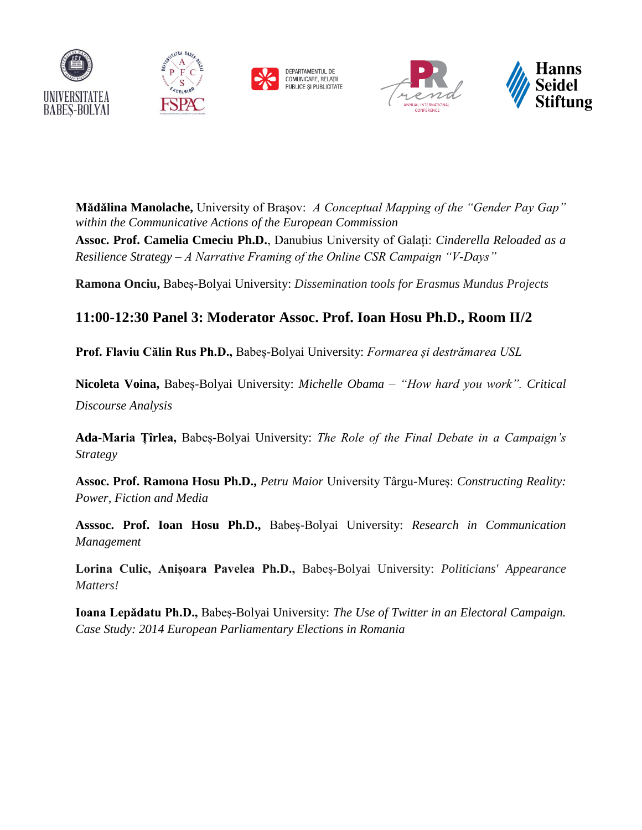









**Mădălina Manolache,** University of Braşov: *A Conceptual Mapping of the "Gender Pay Gap" within the Communicative Actions of the European Commission*

**Assoc. Prof. Camelia Cmeciu Ph.D.**, Danubius University of Galați: *Cinderella Reloaded as a Resilience Strategy – A Narrative Framing of the Online CSR Campaign "V-Days"*

**Ramona Onciu,** Babeș-Bolyai University: *Dissemination tools for Erasmus Mundus Projects*

#### **11:00-12:30 Panel 3: Moderator Assoc. Prof. Ioan Hosu Ph.D., Room II/2**

**Prof. Flaviu Călin Rus Ph.D.,** Babeș-Bolyai University: *Formarea și destrămarea USL*

**Nicoleta Voina,** Babeș-Bolyai University: *Michelle Obama – "How hard you work". Critical Discourse Analysis*

**Ada-Maria Țîrlea,** Babeș-Bolyai University: *The Role of the Final Debate in a Campaign's Strategy*

**Assoc. Prof. Ramona Hosu Ph.D.,** *Petru Maior* University Târgu-Mureș: *Constructing Reality: Power, Fiction and Media*

**Asssoc. Prof. Ioan Hosu Ph.D.,** Babeș-Bolyai University: *Research in Communication Management*

**Lorina Culic, Anișoara Pavelea Ph.D.,** Babeș-Bolyai University: *Politicians' Appearance Matters!* 

**Ioana Lepădatu Ph.D.,** Babeș-Bolyai University: *The Use of Twitter in an Electoral Campaign. Case Study: 2014 European Parliamentary Elections in Romania*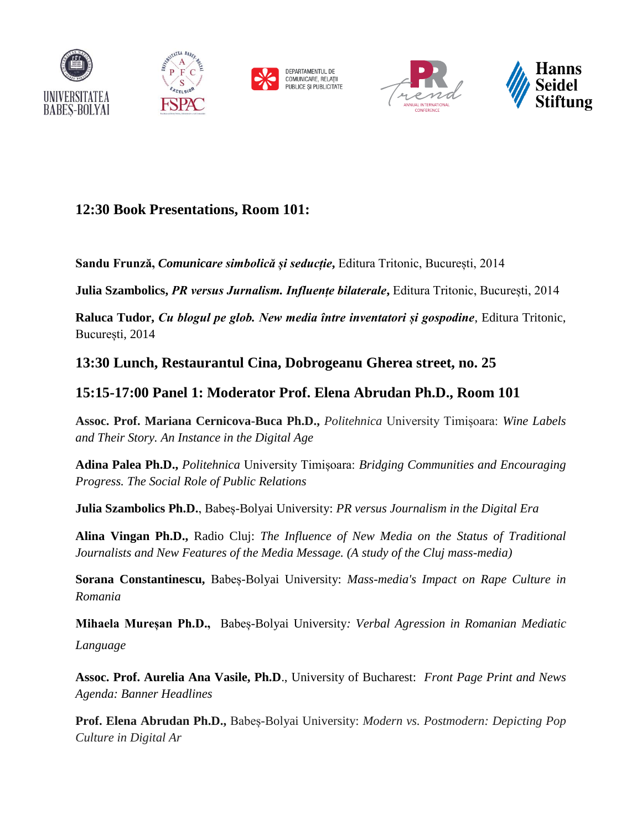



DEPARTAMENTUL DE<br>COMUNICARE, RELATII PUBLICE ȘI PUBLICITATE





### **12:30 Book Presentations, Room 101:**

**Sandu Frunză,** *Comunicare simbolică și seducție***,** Editura Tritonic, București, 2014

**Julia Szambolics,** *PR versus Jurnalism. Influențe bilaterale***,** Editura Tritonic, București, 2014

**Raluca Tudor,** *Cu blogul pe glob. New media între inventatori și gospodine*, Editura Tritonic, București, 2014

### **13:30 Lunch, Restaurantul Cina, Dobrogeanu Gherea street, no. 25**

#### **15:15-17:00 Panel 1: Moderator Prof. Elena Abrudan Ph.D., Room 101**

**Assoc. Prof. Mariana Cernicova-Buca Ph.D.,** *Politehnica* University Timișoara: *Wine Labels and Their Story. An Instance in the Digital Age*

**Adina Palea Ph.D.,** *Politehnica* University Timișoara: *Bridging Communities and Encouraging Progress. The Social Role of Public Relations*

**Julia Szambolics Ph.D.**, Babeș-Bolyai University: *PR versus Journalism in the Digital Era*

**Alina Vingan Ph.D.,** Radio Cluj: *The Influence of New Media on the Status of Traditional Journalists and New Features of the Media Message. (A study of the Cluj mass-media)* 

**Sorana Constantinescu,** Babeș-Bolyai University: *Mass-media's Impact on Rape Culture in Romania*

**Mihaela Mureșan Ph.D.,** Babeș-Bolyai University*: Verbal Agression in Romanian Mediatic Language*

**Assoc. Prof. Aurelia Ana Vasile, Ph.D**., University of Bucharest: *Front Page Print and News Agenda: Banner Headlines*

**Prof. Elena Abrudan Ph.D.,** Babeș-Bolyai University: *Modern vs. Postmodern: Depicting Pop Culture in Digital Ar*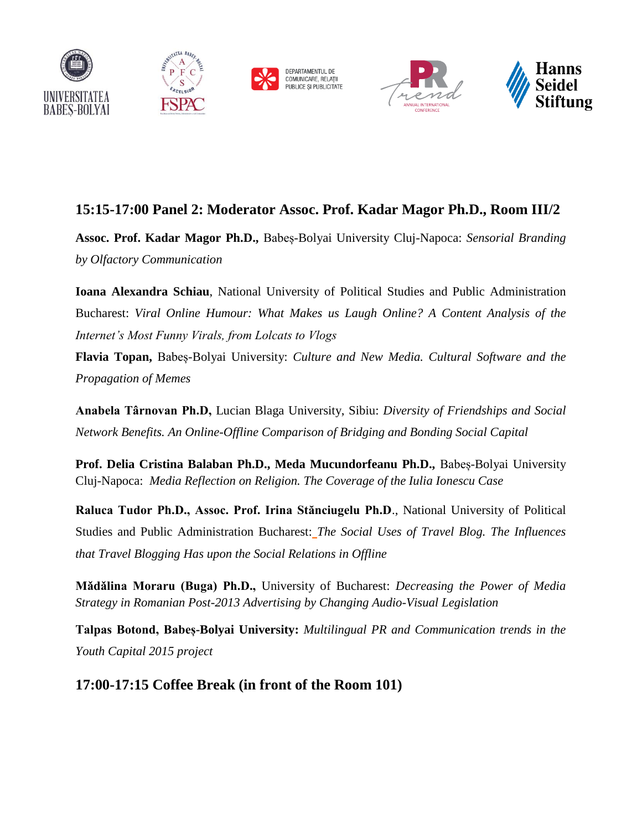









## **15:15-17:00 Panel 2: Moderator Assoc. Prof. Kadar Magor Ph.D., Room III/2**

**Assoc. Prof. Kadar Magor Ph.D.,** Babeș-Bolyai University Cluj-Napoca: *Sensorial Branding by Olfactory Communication*

**Ioana Alexandra Schiau**, National University of Political Studies and Public Administration Bucharest: *Viral Online Humour: What Makes us Laugh Online? A Content Analysis of the Internet's Most Funny Virals, from Lolcats to Vlogs*

**Flavia Topan,** Babeș-Bolyai University: *Culture and New Media. Cultural Software and the Propagation of Memes*

**Anabela Târnovan Ph.D,** Lucian Blaga University, Sibiu: *Diversity of Friendships and Social Network Benefits. An Online-Offline Comparison of Bridging and Bonding Social Capital*

**Prof. Delia Cristina Balaban Ph.D., Meda Mucundorfeanu Ph.D., Babes-Bolyai University** Cluj-Napoca: *Media Reflection on Religion. The Coverage of the Iulia Ionescu Case*

**Raluca Tudor Ph.D., Assoc. Prof. Irina Stănciugelu Ph.D**., National University of Political Studies and Public Administration Bucharest: *The Social Uses of Travel Blog. The Influences that Travel Blogging Has upon the Social Relations in Offline*

**Mǎdǎlina Moraru (Buga) Ph.D.,** University of Bucharest: *Decreasing the Power of Media Strategy in Romanian Post-2013 Advertising by Changing Audio-Visual Legislation* 

**Talpas Botond, Babeș-Bolyai University:** *Multilingual PR and Communication trends in the Youth Capital 2015 project*

**17:00-17:15 Coffee Break (in front of the Room 101)**